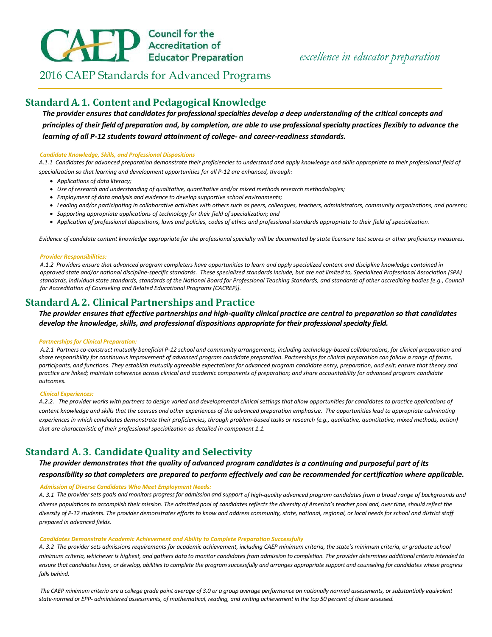# **ED** Council for the<br>Educator Preparation

2016 CAEP Standards for Advanced Programs

# **Standard A. 1. Content and Pedagogical Knowledge**

*The provider ensures that candidates for professional specialties develop a deep understanding of the critical concepts and* principles of their field of preparation and, by completion, are able to use professional specialty practices flexibly to advance the *learning of all P-12 students toward attainment of college- and career-readiness standards.*

#### *Candidate Knowledge, Skills, and Professional Dispositions*

*A.1.1 Candidates for advanced preparation demonstrate their proficiencies to understand and apply knowledge and skills appropriate to their professional field of specialization so that learning and development opportunities for all P-12 are enhanced, through:*

- *Applications of data literacy;*
- *Use of research and understanding of qualitative, quantitative and/or mixed methods research methodologies;*
- *Employment of data analysis and evidence to develop supportive school environments;*
- *Leading and/or participating in collaborative activities with others such as peers, colleagues, teachers, administrators, community organizations, and parents;*
- *Supporting appropriate applications of technology for their field of specialization; and*
- *Application of professional dispositions, laws and policies, codes of ethics and professional standards appropriate to their field of specialization.*

*Evidence of candidate content knowledge appropriate for the professional specialty will be documented by state licensure test scores or other proficiency measures.*

#### *Provider Responsibilities:*

*A.1.2 Providers ensure that advanced program completers have opportunities to learn and apply specialized content and discipline knowledge contained in approved state and/or national discipline-specific standards. These specialized standards include, but are not limited to, Specialized Professional Association (SPA) standards, individual state standards, standards of the National Board for Professional Teaching Standards, and standards of other accrediting bodies [e.g., Council for Accreditation of Counseling and Related Educational Programs (CACREP)].*

# **Standard A. 2. Clinical Partnerships and Practice**

## The provider ensures that effective partnerships and high-quality clinical practice are central to preparation so that candidates *develop the knowledge, skills, and professional dispositions appropriate for their professional specialty field.*

#### *Partnerships for Clinical Preparation:*

*A.2.1 Partners co-construct mutually beneficial P-12 school and community arrangements, including technology-based collaborations, for clinical preparation and share responsibility for continuous improvement of advanced program candidate preparation. Partnerships for clinical preparation can follow a range of forms, participants, and functions. They establish mutually agreeable expectations for advanced program candidate entry, preparation, and exit; ensure that theory and practice are linked; maintain coherence across clinical and academic components of preparation; and share accountability for advanced program candidate outcomes.*

#### *Clinical Experiences:*

*A.2.2. The provider works with partners to design varied and developmental clinical settings that allow opportunities for candidates to practice applications of content knowledge and skills that the courses and other experiences of the advanced preparation emphasize. The opportunities lead to appropriate culminating experiences in which candidates demonstrate their proficiencies, through problem-based tasks or research (e.g., qualitative, quantitative, mixed methods, action) that are characteristic of their professional specialization as detailed in component 1.1.* 

# **Standard A. 3. Candidate Quality and Selectivity**

*The provider demonstrates that the quality of advanced program candidates is a continuing and purposeful part of its* 

*responsibility so that completers are prepared to perform effectively and can be recommended for certification where applicable. Admission of Diverse Candidates Who Meet Employment Needs:*

A. 3.1 The provider sets goals and monitors progress for admission and support of high-quality advanced program candidates from a broad range of backgrounds and diverse populations to accomplish their mission. The admitted pool of candidates reflects the diversity of America's teacher pool and, over time, should reflect the diversity of P-12 students. The provider demonstrates efforts to know and address community, state, national, regional, or local needs for school and district staff *prepared in advanced fields.*

#### *Candidates Demonstrate Academic Achievement and Ability to Complete Preparation Successfully*

A. 3.2 The provider sets admissions requirements for academic achievement, including CAEP minimum criteria, the state's minimum criteria, or graduate school minimum criteria, whichever is highest, and gathers data to monitor candidates from admission to completion. The provider determines additional criteria intended to ensure that candidates have, or develop, abilities to complete the program successfully and arranges appropriate support and counseling for candidates whose progress *falls behind.*

*The CAEP minimum criteria are a college grade point average of 3.0 or a group average performance on nationally normed assessments, or substantially equivalent state-normed or EPP- administered assessments, of mathematical, reading, and writing achievement in the top 50 percent of those assessed.*